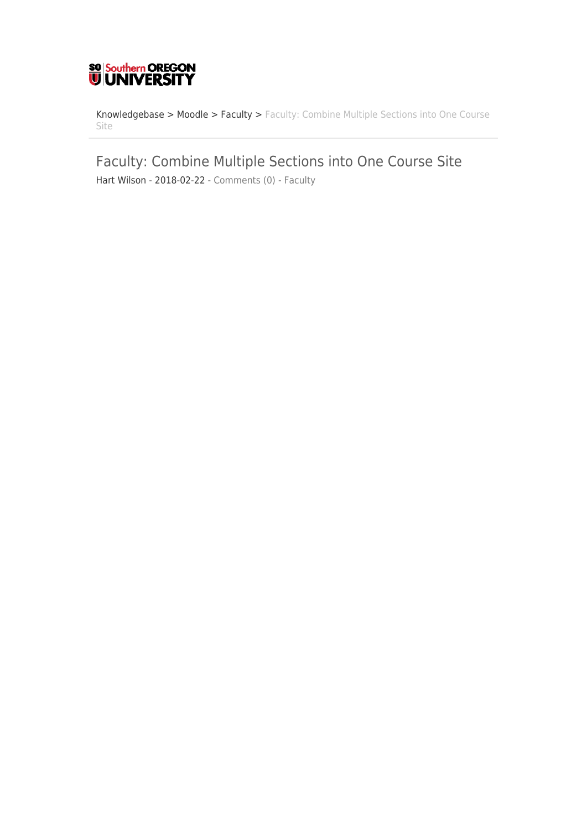

[Knowledgebase](https://support.sou.edu/kb) > [Moodle](https://support.sou.edu/kb/moodle) > [Faculty](https://support.sou.edu/kb/faculty) > [Faculty: Combine Multiple Sections into One Course](https://support.sou.edu/kb/articles/faculty-combine-multiple-sections-into-one-course-site) [Site](https://support.sou.edu/kb/articles/faculty-combine-multiple-sections-into-one-course-site)

Faculty: Combine Multiple Sections into One Course Site

Hart Wilson - 2018-02-22 - [Comments \(0\)](#page--1-0) - [Faculty](https://support.sou.edu/kb/faculty)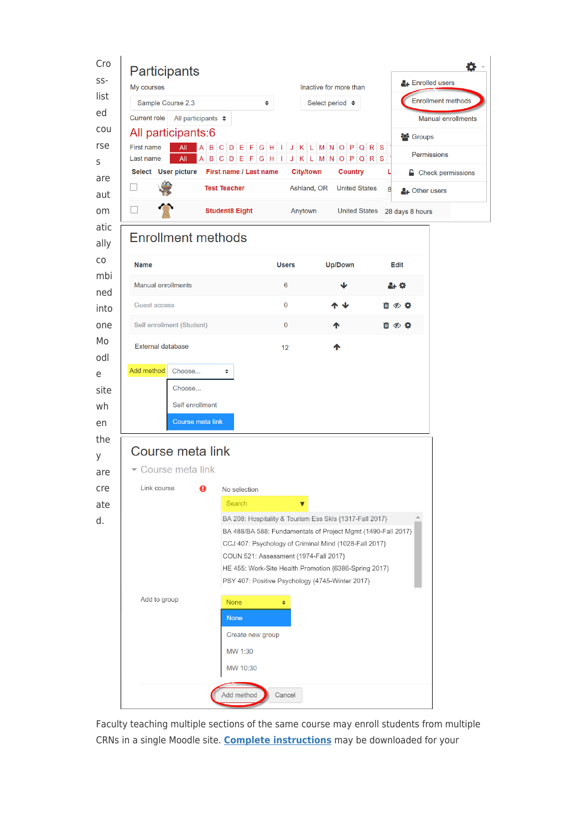

Faculty teaching multiple sections of the same course may enroll students from multiple CRNs in a single Moodle site. **[Complete instructions](https://inside.sou.edu/assets/distanceeducation/docs/moodle/combine-enrollment.pdf)** may be downloaded for your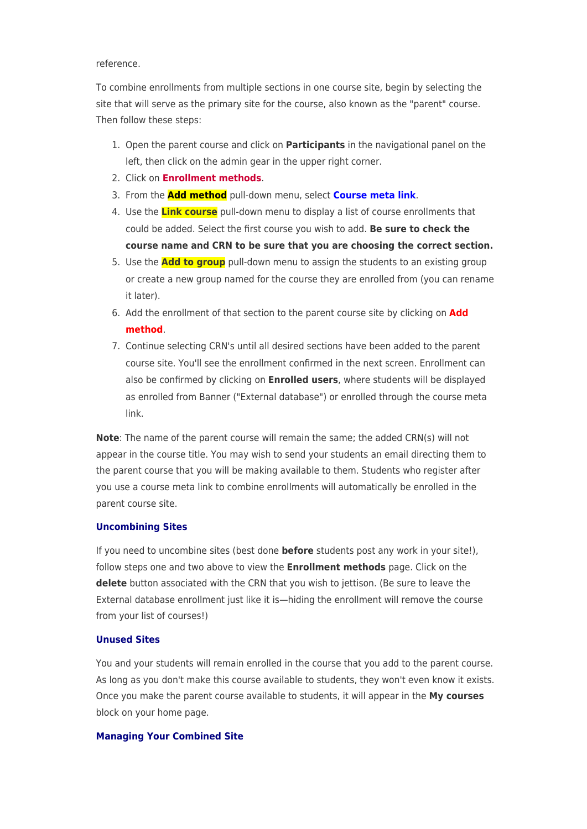## reference.

To combine enrollments from multiple sections in one course site, begin by selecting the site that will serve as the primary site for the course, also known as the "parent" course. Then follow these steps:

- 1. Open the parent course and click on **Participants** in the navigational panel on the left, then click on the admin gear in the upper right corner.
- 2. Click on **Enrollment methods**.
- 3. From the **Add method** pull-down menu, select **Course meta link**.
- 4. Use the **Link course** pull-down menu to display a list of course enrollments that could be added. Select the first course you wish to add. **Be sure to check the course name and CRN to be sure that you are choosing the correct section.**
- 5. Use the **Add to group** pull-down menu to assign the students to an existing group or create a new group named for the course they are enrolled from (you can rename it later).
- 6. Add the enrollment of that section to the parent course site by clicking on **Add method**.
- 7. Continue selecting CRN's until all desired sections have been added to the parent course site. You'll see the enrollment confirmed in the next screen. Enrollment can also be confirmed by clicking on **Enrolled users**, where students will be displayed as enrolled from Banner ("External database") or enrolled through the course meta link.

**Note**: The name of the parent course will remain the same; the added CRN(s) will not appear in the course title. You may wish to send your students an email directing them to the parent course that you will be making available to them. Students who register after you use a course meta link to combine enrollments will automatically be enrolled in the parent course site.

## **Uncombining Sites**

If you need to uncombine sites (best done **before** students post any work in your site!), follow steps one and two above to view the **Enrollment methods** page. Click on the **delete** button associated with the CRN that you wish to jettison. (Be sure to leave the External database enrollment just like it is—hiding the enrollment will remove the course from your list of courses!)

## **Unused Sites**

You and your students will remain enrolled in the course that you add to the parent course. As long as you don't make this course available to students, they won't even know it exists. Once you make the parent course available to students, it will appear in the **My courses** block on your home page.

## **Managing Your Combined Site**